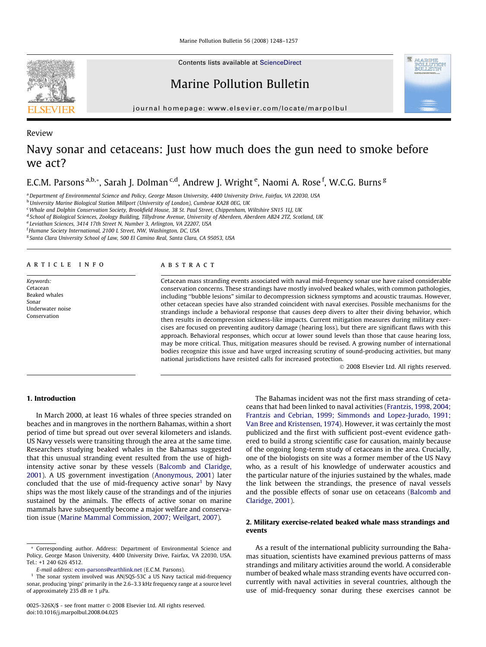Contents lists available at [ScienceDirect](http://www.sciencedirect.com/science/journal/0025326X)

Marine Pollution Bulletin

journal homepage: [www.elsevier.com/locate/marpolbul](http://www.elsevier.com/locate/marpolbul)

# Navy sonar and cetaceans: Just how much does the gun need to smoke before we act?

E.C.M. Parsons <sup>a,b,</sup>\*, Sarah J. Dolman <sup>c,d</sup>, Andrew J. Wright <sup>e</sup>, Naomi A. Rose <sup>f</sup>, W.C.G. Burns <sup>g</sup>

a Department of Environmental Science and Policy, George Mason University, 4400 University Drive, Fairfax, VA 22030, USA

b University Marine Biological Station Millport (University of London), Cumbrae KA28 0EG, UK

<sup>c</sup>Whale and Dolphin Conservation Society, Brookfield House, 38 St. Paul Street, Chippenham, Wiltshire SN15 1LJ, UK

<sup>d</sup> School of Biological Sciences, Zoology Building, Tillydrone Avenue, University of Aberdeen, Aberdeen AB24 2TZ, Scotland, UK

<sup>e</sup> Leviathan Sciences, 3414 17th Street N, Number 3, Arlington, VA 22207, USA

<sup>f</sup> Humane Society International, 2100 L Street, NW, Washington, DC, USA

<sup>g</sup> Santa Clara University School of Law, 500 El Camino Real, Santa Clara, CA 95053, USA

## article info

Keywords: Cetacean Beaked whales Sonar Underwater noise Conservation

#### ABSTRACT

Cetacean mass stranding events associated with naval mid-frequency sonar use have raised considerable conservation concerns. These strandings have mostly involved beaked whales, with common pathologies, including ''bubble lesions" similar to decompression sickness symptoms and acoustic traumas. However, other cetacean species have also stranded coincident with naval exercises. Possible mechanisms for the strandings include a behavioral response that causes deep divers to alter their diving behavior, which then results in decompression sickness-like impacts. Current mitigation measures during military exercises are focused on preventing auditory damage (hearing loss), but there are significant flaws with this approach. Behavioral responses, which occur at lower sound levels than those that cause hearing loss, may be more critical. Thus, mitigation measures should be revised. A growing number of international bodies recognize this issue and have urged increasing scrutiny of sound-producing activities, but many national jurisdictions have resisted calls for increased protection.

- 2008 Elsevier Ltd. All rights reserved.

**AA A IRITHE** POLLUTIK<br>BIHLLETTIR

# 1. Introduction

In March 2000, at least 16 whales of three species stranded on beaches and in mangroves in the northern Bahamas, within a short period of time but spread out over several kilometers and islands. US Navy vessels were transiting through the area at the same time. Researchers studying beaked whales in the Bahamas suggested that this unusual stranding event resulted from the use of highintensity active sonar by these vessels [\(Balcomb and Claridge,](#page-7-0) [2001\)](#page-7-0). A US government investigation ([Anonymous, 2001](#page-7-0)) later concluded that the use of mid-frequency active sonar<sup>1</sup> by Navy ships was the most likely cause of the strandings and of the injuries sustained by the animals. The effects of active sonar on marine mammals have subsequently become a major welfare and conservation issue [\(Marine Mammal Commission, 2007; Weilgart, 2007\)](#page-8-0).

The Bahamas incident was not the first mass stranding of cetaceans that had been linked to naval activities [\(Frantzis, 1998, 2004;](#page-8-0) [Frantzis and Cebrian, 1999; Simmonds and Lopez-Jurado, 1991;](#page-8-0) [Van Bree and Kristensen, 1974\)](#page-8-0). However, it was certainly the most publicized and the first with sufficient post-event evidence gathered to build a strong scientific case for causation, mainly because of the ongoing long-term study of cetaceans in the area. Crucially, one of the biologists on site was a former member of the US Navy who, as a result of his knowledge of underwater acoustics and the particular nature of the injuries sustained by the whales, made the link between the strandings, the presence of naval vessels and the possible effects of sonar use on cetaceans ([Balcomb and](#page-7-0) [Claridge, 2001](#page-7-0)).

# 2. Military exercise-related beaked whale mass strandings and events

As a result of the international publicity surrounding the Bahamas situation, scientists have examined previous patterns of mass strandings and military activities around the world. A considerable number of beaked whale mass stranding events have occurred concurrently with naval activities in several countries, although the use of mid-frequency sonar during these exercises cannot be



Review

<sup>\*</sup> Corresponding author. Address: Department of Environmental Science and Policy, George Mason University, 4400 University Drive, Fairfax, VA 22030, USA. Tel.: +1 240 626 4512.

E-mail address: [ecm-parsons@earthlink.net](mailto:ecm-parsons@earthlink.net) (E.C.M. Parsons).

 $1$  The sonar system involved was AN/SQS-53C a US Navy tactical mid-frequency sonar, producing 'pings' primarily in the 2.6–3.3 kHz frequency range at a source level of approximately 235 dB re  $1 \mu$ Pa.

<sup>0025-326</sup>X/\$ - see front matter © 2008 Elsevier Ltd. All rights reserved. doi:10.1016/j.marpolbul.2008.04.025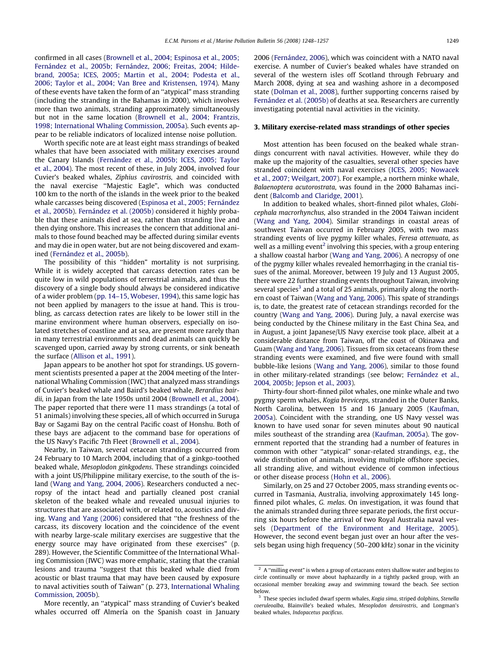confirmed in all cases [\(Brownell et al., 2004; Espinosa et al., 2005;](#page-7-0) [Fernández et al., 2005b; Fernández, 2006; Freitas, 2004; Hilde](#page-7-0)[brand, 2005a; ICES, 2005; Martin et al., 2004; Podesta et al.,](#page-7-0) [2006; Taylor et al., 2004; Van Bree and Kristensen, 1974\)](#page-7-0). Many of these events have taken the form of an ''atypical" mass stranding (including the stranding in the Bahamas in 2000), which involves more than two animals, stranding approximately simultaneously but not in the same location [\(Brownell et al., 2004; Frantzis,](#page-7-0) [1998; International Whaling Commission, 2005a](#page-7-0)). Such events appear to be reliable indicators of localized intense noise pollution.

Worth specific note are at least eight mass strandings of beaked whales that have been associated with military exercises around the Canary Islands [\(Fernández et al., 2005b; ICES, 2005; Taylor](#page-7-0) [et al., 2004\)](#page-7-0). The most recent of these, in July 2004, involved four Cuvier's beaked whales, Ziphius cavirostris, and coincided with the naval exercise ''Majestic Eagle", which was conducted 100 km to the north of the islands in the week prior to the beaked whale carcasses being discovered [\(Espinosa et al., 2005; Fernández](#page-7-0) [et al., 2005b\)](#page-7-0). [Fernández et al. \(2005b\)](#page-7-0) considered it highly probable that these animals died at sea, rather than stranding live and then dying onshore. This increases the concern that additional animals to those found beached may be affected during similar events and may die in open water, but are not being discovered and examined ([Fernández et al., 2005b](#page-7-0)).

The possibility of this ''hidden" mortality is not surprising. While it is widely accepted that carcass detection rates can be quite low in wild populations of terrestrial animals, and thus the discovery of a single body should always be considered indicative of a wider problem ([pp. 14–15, Wobeser, 1994](#page-9-0)), this same logic has not been applied by managers to the issue at hand. This is troubling, as carcass detection rates are likely to be lower still in the marine environment where human observers, especially on isolated stretches of coastline and at sea, are present more rarely than in many terrestrial environments and dead animals can quickly be scavenged upon, carried away by strong currents, or sink beneath the surface [\(Allison et al., 1991](#page-7-0)).

Japan appears to be another hot spot for strandings. US government scientists presented a paper at the 2004 meeting of the International Whaling Commission (IWC) that analyzed mass strandings of Cuvier's beaked whale and Baird's beaked whale, Berardius bair-dii, in Japan from the late 1950s until 2004 ([Brownell et al., 2004\)](#page-7-0). The paper reported that there were 11 mass strandings (a total of 51 animals) involving these species, all of which occurred in Suruga Bay or Sagami Bay on the central Pacific coast of Honshu. Both of these bays are adjacent to the command base for operations of the US Navy's Pacific 7th Fleet [\(Brownell et al., 2004](#page-7-0)).

Nearby, in Taiwan, several cetacean strandings occurred from 24 February to 10 March 2004, including that of a ginkgo-toothed beaked whale, Mesoplodon ginkgodens. These strandings coincided with a joint US/Philippine military exercise, to the south of the island ([Wang and Yang, 2004, 2006\)](#page-9-0). Researchers conducted a necropsy of the intact head and partially cleaned post cranial skeleton of the beaked whale and revealed unusual injuries to structures that are associated with, or related to, acoustics and diving. [Wang and Yang \(2006\)](#page-9-0) considered that ''the freshness of the carcass, its discovery location and the coincidence of the event with nearby large-scale military exercises are suggestive that the energy source may have originated from these exercises" (p. 289). However, the Scientific Committee of the International Whaling Commission (IWC) was more emphatic, stating that the cranial lesions and trauma ''suggest that this beaked whale died from acoustic or blast trauma that may have been caused by exposure to naval activities south of Taiwan" (p. 273, [International Whaling](#page-8-0) [Commission, 2005b](#page-8-0)).

More recently, an ''atypical" mass stranding of Cuvier's beaked whales occurred off Almería on the Spanish coast in January 2006 [\(Fernández, 2006](#page-7-0)), which was coincident with a NATO naval exercise. A number of Cuvier's beaked whales have stranded on several of the western isles off Scotland through February and March 2008, dying at sea and washing ashore in a decomposed state ([Dolman et al., 2008\)](#page-7-0), further supporting concerns raised by [Fernández et al. \(2005b\)](#page-7-0) of deaths at sea. Researchers are currently investigating potential naval activities in the vicinity.

# 3. Military exercise-related mass strandings of other species

Most attention has been focused on the beaked whale strandings concurrent with naval activities. However, while they do make up the majority of the casualties, several other species have stranded coincident with naval exercises ([ICES, 2005; Nowacek](#page-8-0) [et al., 2007; Weilgart, 2007\)](#page-8-0). For example, a northern minke whale, Balaenoptera acutorostrata, was found in the 2000 Bahamas incident [\(Balcomb and Claridge, 2001\)](#page-7-0).

In addition to beaked whales, short-finned pilot whales, Globicephala macrorhynchus, also stranded in the 2004 Taiwan incident ([Wang and Yang, 2004\)](#page-9-0). Similar strandings in coastal areas of southwest Taiwan occurred in February 2005, with two mass stranding events of live pygmy killer whales, Feresa attenuata, as well as a milling event<sup>2</sup> involving this species, with a group entering a shallow coastal harbor [\(Wang and Yang, 2006\)](#page-9-0). A necropsy of one of the pygmy killer whales revealed hemorrhaging in the cranial tissues of the animal. Moreover, between 19 July and 13 August 2005, there were 22 further stranding events throughout Taiwan, involving several species<sup>3</sup> and a total of 25 animals, primarily along the northern coast of Taiwan [\(Wang and Yang, 2006\)](#page-9-0). This spate of strandings is, to date, the greatest rate of cetacean strandings recorded for the country [\(Wang and Yang, 2006](#page-9-0)). During July, a naval exercise was being conducted by the Chinese military in the East China Sea, and in August, a joint Japanese/US Navy exercise took place, albeit at a considerable distance from Taiwan, off the coast of Okinawa and Guam [\(Wang and Yang, 2006](#page-9-0)). Tissues from six cetaceans from these stranding events were examined, and five were found with small bubble-like lesions ([Wang and Yang, 2006\)](#page-9-0), similar to those found in other military-related strandings (see below; [Fernández et al.,](#page-7-0) [2004, 2005b; Jepson et al., 2003\)](#page-7-0).

Thirty-four short-finned pilot whales, one minke whale and two pygmy sperm whales, Kogia breviceps, stranded in the Outer Banks, North Carolina, between 15 and 16 January 2005 ([Kaufman,](#page-8-0) [2005a\)](#page-8-0). Coincident with the stranding, one US Navy vessel was known to have used sonar for seven minutes about 90 nautical miles southeast of the stranding area ([Kaufman, 2005a](#page-8-0)). The government reported that the stranding had a number of features in common with other ''atypical" sonar-related strandings, e.g., the wide distribution of animals, involving multiple offshore species, all stranding alive, and without evidence of common infectious or other disease process ([Hohn et al., 2006](#page-8-0)).

Similarly, on 25 and 27 October 2005, mass stranding events occurred in Tasmania, Australia, involving approximately 145 longfinned pilot whales, G. melas. On investigation, it was found that the animals stranded during three separate periods, the first occurring six hours before the arrival of two Royal Australia naval vessels [\(Department of the Environment and Heritage, 2005\)](#page-7-0). However, the second event began just over an hour after the vessels began using high frequency (50–200 kHz) sonar in the vicinity

 $^{\rm 2}$  A "milling event" is when a group of cetaceans enters shallow water and begins to circle continually or move about haphazardly in a tightly packed group, with an occasional member breaking away and swimming toward the beach. See section below.

<sup>&</sup>lt;sup>3</sup> These species included dwarf sperm whales, Kogia sima, striped dolphins, Stenella coeruleoalba, Blainville's beaked whales, Mesoplodon densirostris, and Longman's beaked whales, Indopacetus pacificus.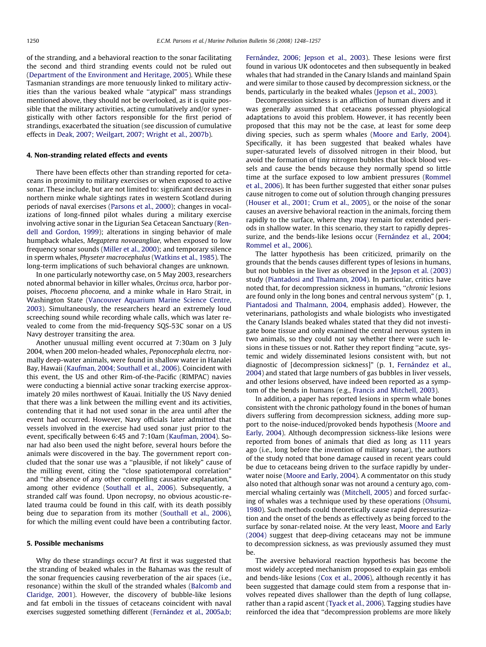of the stranding, and a behavioral reaction to the sonar facilitating the second and third stranding events could not be ruled out ([Department of the Environment and Heritage, 2005](#page-7-0)). While these Tasmanian strandings are more tenuously linked to military activities than the various beaked whale ''atypical" mass strandings mentioned above, they should not be overlooked, as it is quite possible that the military activities, acting cumulatively and/or synergistically with other factors responsible for the first period of strandings, exacerbated the situation (see discussion of cumulative effects in [Deak, 2007; Weilgart, 2007; Wright et al., 2007b\)](#page-7-0).

#### 4. Non-stranding related effects and events

There have been effects other than stranding reported for cetaceans in proximity to military exercises or when exposed to active sonar. These include, but are not limited to: significant decreases in northern minke whale sightings rates in western Scotland during periods of naval exercises [\(Parsons et al., 2000](#page-8-0)); changes in vocalizations of long-finned pilot whales during a military exercise involving active sonar in the Ligurian Sea Cetacean Sanctuary [\(Ren](#page-8-0)[dell and Gordon, 1999](#page-8-0)); alterations in singing behavior of male humpback whales, Megaptera novaeangliae, when exposed to low frequency sonar sounds ([Miller et al., 2000](#page-8-0)); and temporary silence in sperm whales, Physeter macrocephalus [\(Watkins et al., 1985](#page-9-0)). The long-term implications of such behavioral changes are unknown.

In one particularly noteworthy case, on 5 May 2003, researchers noted abnormal behavior in killer whales, Orcinus orca, harbor porpoises, Phocoena phocoena, and a minke whale in Haro Strait, in Washington State [\(Vancouver Aquarium Marine Science Centre,](#page-9-0) [2003\)](#page-9-0). Simultaneously, the researchers heard an extremely loud screeching sound while recording whale calls, which was later revealed to come from the mid-frequency SQS-53C sonar on a US Navy destroyer transiting the area.

Another unusual milling event occurred at 7:30am on 3 July 2004, when 200 melon-headed whales, Peponocephala electra, normally deep-water animals, were found in shallow water in Hanalei Bay, Hawaii ([Kaufman, 2004; Southall et al., 2006](#page-8-0)). Coincident with this event, the US and other Rim-of-the-Pacific (RIMPAC) navies were conducting a biennial active sonar tracking exercise approximately 20 miles northwest of Kauai. Initially the US Navy denied that there was a link between the milling event and its activities, contending that it had not used sonar in the area until after the event had occurred. However, Navy officials later admitted that vessels involved in the exercise had used sonar just prior to the event, specifically between 6:45 and 7:10am [\(Kaufman, 2004](#page-8-0)). Sonar had also been used the night before, several hours before the animals were discovered in the bay. The government report concluded that the sonar use was a ''plausible, if not likely" cause of the milling event, citing the ''close spatiotemporal correlation" and ''the absence of any other compelling causative explanation," among other evidence ([Southall et al., 2006](#page-8-0)). Subsequently, a stranded calf was found. Upon necropsy, no obvious acoustic-related trauma could be found in this calf, with its death possibly being due to separation from its mother ([Southall et al., 2006\)](#page-8-0), for which the milling event could have been a contributing factor.

#### 5. Possible mechanisms

Why do these strandings occur? At first it was suggested that the stranding of beaked whales in the Bahamas was the result of the sonar frequencies causing reverberation of the air spaces (i.e., resonance) within the skull of the stranded whales [\(Balcomb and](#page-7-0) [Claridge, 2001](#page-7-0)). However, the discovery of bubble-like lesions and fat emboli in the tissues of cetaceans coincident with naval exercises suggested something different ([Fernández et al., 2005a,b;](#page-7-0)

[Fernández, 2006; Jepson et al., 2003](#page-7-0)). These lesions were first found in various UK odontocetes and then subsequently in beaked whales that had stranded in the Canary Islands and mainland Spain and were similar to those caused by decompression sickness, or the bends, particularly in the beaked whales ([Jepson et al., 2003](#page-8-0)).

Decompression sickness is an affliction of human divers and it was generally assumed that cetaceans possessed physiological adaptations to avoid this problem. However, it has recently been proposed that this may not be the case, at least for some deep diving species, such as sperm whales [\(Moore and Early, 2004\)](#page-8-0). Specifically, it has been suggested that beaked whales have super-saturated levels of dissolved nitrogen in their blood, but avoid the formation of tiny nitrogen bubbles that block blood vessels and cause the bends because they normally spend so little time at the surface exposed to low ambient pressures [\(Rommel](#page-8-0) [et al., 2006](#page-8-0)). It has been further suggested that either sonar pulses cause nitrogen to come out of solution through changing pressures ([Houser et al., 2001; Crum et al., 2005\)](#page-8-0), or the noise of the sonar causes an aversive behavioral reaction in the animals, forcing them rapidly to the surface, where they may remain for extended periods in shallow water. In this scenario, they start to rapidly depressurize, and the bends-like lesions occur [\(Fernández et al., 2004;](#page-7-0) [Rommel et al., 2006\)](#page-7-0).

The latter hypothesis has been criticized, primarily on the grounds that the bends causes different types of lesions in humans, but not bubbles in the liver as observed in the [Jepson et al. \(2003\)](#page-8-0) study ([Piantadosi and Thalmann, 2004](#page-8-0)). In particular, critics have noted that, for decompression sickness in humans, ''chronic lesions are found only in the long bones and central nervous system" (p. 1, [Piantadosi and Thalmann, 2004,](#page-8-0) emphasis added). However, the veterinarians, pathologists and whale biologists who investigated the Canary Islands beaked whales stated that they did not investigate bone tissue and only examined the central nervous system in two animals, so they could not say whether there were such lesions in these tissues or not. Rather they report finding ''acute, systemic and widely disseminated lesions consistent with, but not diagnostic of [decompression sickness]" (p. 1, [Fernández et al.,](#page-7-0) [2004\)](#page-7-0) and stated that large numbers of gas bubbles in liver vessels, and other lesions observed, have indeed been reported as a symptom of the bends in humans (e.g., [Francis and Mitchell, 2003](#page-8-0)).

In addition, a paper has reported lesions in sperm whale bones consistent with the chronic pathology found in the bones of human divers suffering from decompression sickness, adding more support to the noise-induced/provoked bends hypothesis ([Moore and](#page-8-0) [Early, 2004](#page-8-0)). Although decompression sickness-like lesions were reported from bones of animals that died as long as 111 years ago (i.e., long before the invention of military sonar), the authors of the study noted that bone damage caused in recent years could be due to cetaceans being driven to the surface rapidly by underwater noise ([Moore and Early, 2004\)](#page-8-0). A commentator on this study also noted that although sonar was not around a century ago, commercial whaling certainly was ([Mitchell, 2005\)](#page-8-0) and forced surfacing of whales was a technique used by these operations [\(Ohsumi,](#page-8-0) [1980\)](#page-8-0). Such methods could theoretically cause rapid depressurization and the onset of the bends as effectively as being forced to the surface by sonar-related noise. At the very least, [Moore and Early](#page-8-0) [\(2004\)](#page-8-0) suggest that deep-diving cetaceans may not be immune to decompression sickness, as was previously assumed they must be.

The aversive behavioral reaction hypothesis has become the most widely accepted mechanism proposed to explain gas emboli and bends-like lesions [\(Cox et al., 2006](#page-7-0)), although recently it has been suggested that damage could stem from a response that involves repeated dives shallower than the depth of lung collapse, rather than a rapid ascent [\(Tyack et al., 2006\)](#page-9-0). Tagging studies have reinforced the idea that ''decompression problems are more likely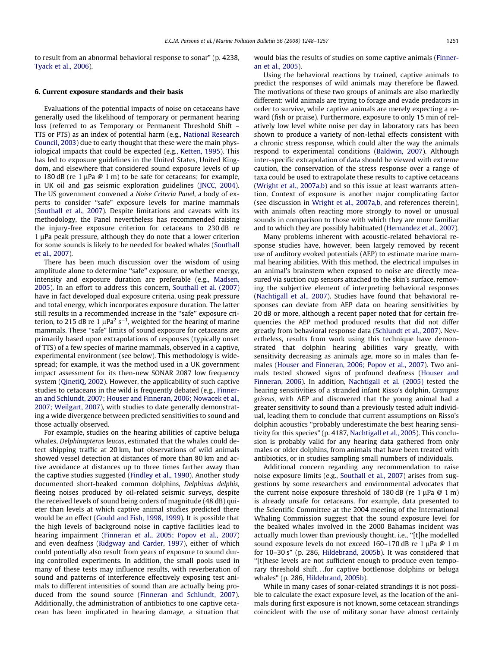to result from an abnormal behavioral response to sonar" (p. 4238, [Tyack et al., 2006](#page-9-0)).

### 6. Current exposure standards and their basis

Evaluations of the potential impacts of noise on cetaceans have generally used the likelihood of temporary or permanent hearing loss (referred to as Temporary or Permanent Threshold Shift – TTS or PTS) as an index of potential harm (e.g., [National Research](#page-8-0) [Council, 2003](#page-8-0)) due to early thought that these were the main physiological impacts that could be expected (e.g., [Ketten, 1995](#page-8-0)). This has led to exposure guidelines in the United States, United Kingdom, and elsewhere that considered sound exposure levels of up to 180 dB (re 1  $\mu$ Pa @ 1 m) to be safe for cetaceans; for example, in UK oil and gas seismic exploration guidelines [\(JNCC, 2004\)](#page-8-0). The US government convened a Noise Criteria Panel, a body of experts to consider ''safe" exposure levels for marine mammals ([Southall et al., 2007\)](#page-8-0). Despite limitations and caveats with its methodology, the Panel nevertheless has recommended raising the injury-free exposure criterion for cetaceans to 230 dB re 1 µPa peak pressure, although they do note that a lower criterion for some sounds is likely to be needed for beaked whales ([Southall](#page-8-0) [et al., 2007\)](#page-8-0).

There has been much discussion over the wisdom of using amplitude alone to determine ''safe" exposure, or whether energy, intensity and exposure duration are preferable (e.g., [Madsen,](#page-8-0) [2005](#page-8-0)). In an effort to address this concern, [Southall et al. \(2007\)](#page-8-0) have in fact developed dual exposure criteria, using peak pressure and total energy, which incorporates exposure duration. The latter still results in a recommended increase in the ''safe'' exposure criterion, to 215 dB re 1  $\mu$ Pa<sup>2</sup> s<sup>-1</sup>, weighted for the hearing of marine mammals. These ''safe" limits of sound exposure for cetaceans are primarily based upon extrapolations of responses (typically onset of TTS) of a few species of marine mammals, observed in a captive, experimental environment (see below). This methodology is widespread; for example, it was the method used in a UK government impact assessment for its then-new SONAR 2087 low frequency system ([QinetiQ, 2002\)](#page-8-0). However, the applicability of such captive studies to cetaceans in the wild is frequently debated (e.g., [Finner](#page-8-0)[an and Schlundt, 2007; Houser and Finneran, 2006; Nowacek et al.,](#page-8-0) [2007; Weilgart, 2007](#page-8-0)), with studies to date generally demonstrating a wide divergence between predicted sensitivities to sound and those actually observed.

For example, studies on the hearing abilities of captive beluga whales, Delphinapterus leucas, estimated that the whales could detect shipping traffic at 20 km, but observations of wild animals showed vessel detection at distances of more than 80 km and active avoidance at distances up to three times farther away than the captive studies suggested ([Findley et al., 1990\)](#page-7-0). Another study documented short-beaked common dolphins, Delphinus delphis, fleeing noises produced by oil-related seismic surveys, despite the received levels of sound being orders of magnitude (48 dB) quieter than levels at which captive animal studies predicted there would be an effect [\(Gould and Fish, 1998, 1999](#page-8-0)). It is possible that the high levels of background noise in captive facilities lead to hearing impairment ([Finneran et al., 2005; Popov et al., 2007\)](#page-7-0) and even deafness [\(Ridgway and Carder, 1997\)](#page-8-0), either of which could potentially also result from years of exposure to sound during controlled experiments. In addition, the small pools used in many of these tests may influence results, with reverberation of sound and patterns of interference effectively exposing test animals to different intensities of sound than are actually being produced from the sound source ([Finneran and Schlundt, 2007\)](#page-8-0). Additionally, the administration of antibiotics to one captive cetacean has been implicated in hearing damage, a situation that would bias the results of studies on some captive animals [\(Finner](#page-7-0)[an et al., 2005](#page-7-0)).

Using the behavioral reactions by trained, captive animals to predict the responses of wild animals may therefore be flawed. The motivations of these two groups of animals are also markedly different: wild animals are trying to forage and evade predators in order to survive, while captive animals are merely expecting a reward (fish or praise). Furthermore, exposure to only 15 min of relatively low level white noise per day in laboratory rats has been shown to produce a variety of non-lethal effects consistent with a chronic stress response, which could alter the way the animals respond to experimental conditions ([Baldwin, 2007](#page-7-0)). Although inter-specific extrapolation of data should be viewed with extreme caution, the conservation of the stress response over a range of taxa could be used to extrapolate these results to captive cetaceans ([Wright et al., 2007a,b](#page-7-0)) and so this issue at least warrants attention. Context of exposure is another major complicating factor (see discussion in [Wright et al., 2007a,b](#page-7-0), and references therein), with animals often reacting more strongly to novel or unusual sounds in comparison to those with which they are more familiar and to which they are possibly habituated ([Hernandez et al., 2007\)](#page-8-0).

Many problems inherent with acoustic-related behavioral response studies have, however, been largely removed by recent use of auditory evoked potentials (AEP) to estimate marine mammal hearing abilities. With this method, the electrical impulses in an animal's brainstem when exposed to noise are directly measured via suction cup sensors attached to the skin's surface, removing the subjective element of interpreting behavioral responses ([Nachtigall et al., 2007](#page-8-0)). Studies have found that behavioral responses can deviate from AEP data on hearing sensitivities by 20 dB or more, although a recent paper noted that for certain frequencies the AEP method produced results that did not differ greatly from behavioral response data [\(Schlundt et al., 2007](#page-8-0)). Nevertheless, results from work using this technique have demonstrated that dolphin hearing abilities vary greatly, with sensitivity decreasing as animals age, more so in males than females ([Houser and Finneran, 2006; Popov et al., 2007](#page-8-0)). Two animals tested showed signs of profound deafness [\(Houser and](#page-8-0) [Finneran, 2006\)](#page-8-0). In addition, [Nachtigall et al. \(2005\)](#page-8-0) tested the hearing sensitivities of a stranded infant Risso's dolphin, Grampus griseus, with AEP and discovered that the young animal had a greater sensitivity to sound than a previously tested adult individual, leading them to conclude that current assumptions on Risso's dolphin acoustics ''probably underestimate the best hearing sensitivity for this species" (p. 4187, [Nachtigall et al., 2005](#page-8-0)). This conclusion is probably valid for any hearing data gathered from only males or older dolphins, from animals that have been treated with antibiotics, or in studies sampling small numbers of individuals.

Additional concern regarding any recommendation to raise noise exposure limits (e.g., [Southall et al., 2007](#page-8-0)) arises from suggestions by some researchers and environmental advocates that the current noise exposure threshold of 180 dB (re 1  $\mu$ Pa @ 1 m) is already unsafe for cetaceans. For example, data presented to the Scientific Committee at the 2004 meeting of the International Whaling Commission suggest that the sound exposure level for the beaked whales involved in the 2000 Bahamas incident was actually much lower than previously thought, i.e., ''[t]he modelled sound exposure levels do not exceed  $160-170$  dB re  $1 \mu$ Pa  $\omega$  1 m for 10–30 s" (p. 286, [Hildebrand, 2005b\)](#page-8-0). It was considered that ''[t]hese levels are not sufficient enough to produce even temporary threshold shift...for captive bottlenose dolphins or beluga whales" (p. 286, [Hildebrand, 2005b](#page-8-0)).

While in many cases of sonar-related strandings it is not possible to calculate the exact exposure level, as the location of the animals during first exposure is not known, some cetacean strandings coincident with the use of military sonar have almost certainly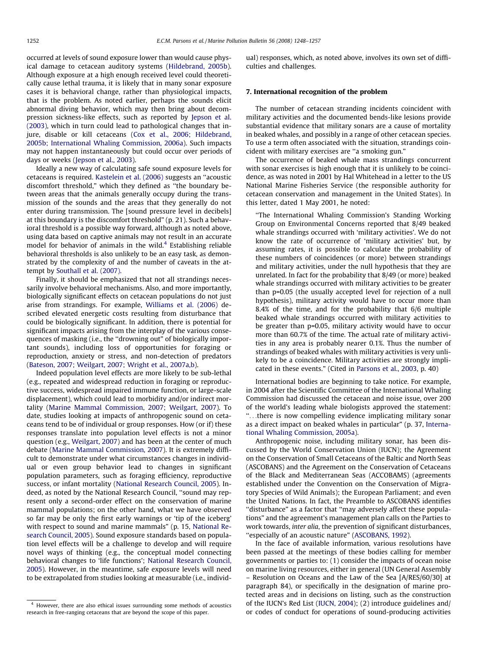occurred at levels of sound exposure lower than would cause physical damage to cetacean auditory systems ([Hildebrand, 2005b\)](#page-8-0). Although exposure at a high enough received level could theoretically cause lethal trauma, it is likely that in many sonar exposure cases it is behavioral change, rather than physiological impacts, that is the problem. As noted earlier, perhaps the sounds elicit abnormal diving behavior, which may then bring about decompression sickness-like effects, such as reported by [Jepson et al.](#page-8-0) [\(2003\),](#page-8-0) which in turn could lead to pathological changes that injure, disable or kill cetaceans ([Cox et al., 2006; Hildebrand,](#page-7-0) [2005b; International Whaling Commission, 2006a\)](#page-7-0). Such impacts may not happen instantaneously but could occur over periods of days or weeks ([Jepson et al., 2003](#page-8-0)).

Ideally a new way of calculating safe sound exposure levels for cetaceans is required. [Kastelein et al. \(2006\)](#page-8-0) suggests an ''acoustic discomfort threshold," which they defined as ''the boundary between areas that the animals generally occupy during the transmission of the sounds and the areas that they generally do not enter during transmission. The [sound pressure level in decibels] at this boundary is the discomfort threshold" (p. 21). Such a behavioral threshold is a possible way forward, although as noted above, using data based on captive animals may not result in an accurate model for behavior of animals in the wild. $4$  Establishing reliable behavioral thresholds is also unlikely to be an easy task, as demonstrated by the complexity of and the number of caveats in the attempt by [Southall et al. \(2007\)](#page-8-0).

Finally, it should be emphasized that not all strandings necessarily involve behavioral mechanisms. Also, and more importantly, biologically significant effects on cetacean populations do not just arise from strandings. For example, [Williams et al. \(2006\)](#page-9-0) described elevated energetic costs resulting from disturbance that could be biologically significant. In addition, there is potential for significant impacts arising from the interplay of the various consequences of masking (i.e., the ''drowning out" of biologically important sounds), including loss of opportunities for foraging or reproduction, anxiety or stress, and non-detection of predators ([Bateson, 2007; Weilgart, 2007; Wright et al., 2007a,b](#page-7-0)).

Indeed population level effects are more likely to be sub-lethal (e.g., repeated and widespread reduction in foraging or reproductive success, widespread impaired immune function, or large-scale displacement), which could lead to morbidity and/or indirect mortality ([Marine Mammal Commission, 2007; Weilgart, 2007](#page-8-0)). To date, studies looking at impacts of anthropogenic sound on cetaceans tend to be of individual or group responses. How (or if) these responses translate into population level effects is not a minor question (e.g., [Weilgart, 2007\)](#page-9-0) and has been at the center of much debate ([Marine Mammal Commission, 2007\)](#page-8-0). It is extremely difficult to demonstrate under what circumstances changes in individual or even group behavior lead to changes in significant population parameters, such as foraging efficiency, reproductive success, or infant mortality [\(National Research Council, 2005](#page-8-0)). Indeed, as noted by the National Research Council, ''sound may represent only a second-order effect on the conservation of marine mammal populations; on the other hand, what we have observed so far may be only the first early warnings or 'tip of the iceberg' with respect to sound and marine mammals" (p. 15, [National Re](#page-8-0)[search Council, 2005](#page-8-0)). Sound exposure standards based on population level effects will be a challenge to develop and will require novel ways of thinking (e.g., the conceptual model connecting behavioral changes to 'life functions'; [National Research Council,](#page-8-0) [2005\)](#page-8-0). However, in the meantime, safe exposure levels will need to be extrapolated from studies looking at measurable (i.e., individual) responses, which, as noted above, involves its own set of difficulties and challenges.

## 7. International recognition of the problem

The number of cetacean stranding incidents coincident with military activities and the documented bends-like lesions provide substantial evidence that military sonars are a cause of mortality in beaked whales, and possibly in a range of other cetacean species. To use a term often associated with the situation, strandings coincident with military exercises are ''a smoking gun."

The occurrence of beaked whale mass strandings concurrent with sonar exercises is high enough that it is unlikely to be coincidence, as was noted in 2001 by Hal Whitehead in a letter to the US National Marine Fisheries Service (the responsible authority for cetacean conservation and management in the United States). In this letter, dated 1 May 2001, he noted:

''The International Whaling Commission's Standing Working Group on Environmental Concerns reported that 8/49 beaked whale strandings occurred with 'military activities'. We do not know the rate of occurrence of 'military activities' but, by assuming rates, it is possible to calculate the probability of these numbers of coincidences (or more) between strandings and military activities, under the null hypothesis that they are unrelated. In fact for the probability that 8/49 (or more) beaked whale strandings occurred with military activities to be greater than p=0.05 (the usually accepted level for rejection of a null hypothesis), military activity would have to occur more than 8.4% of the time, and for the probability that 6/6 multiple beaked whale strandings occurred with military activities to be greater than p=0.05, military activity would have to occur more than 60.7% of the time. The actual rate of military activities in any area is probably nearer 0.1%. Thus the number of strandings of beaked whales with military activities is very unlikely to be a coincidence. Military activities are strongly implicated in these events." (Cited in [Parsons et al., 2003,](#page-8-0) p. 40)

International bodies are beginning to take notice. For example, in 2004 after the Scientific Committee of the International Whaling Commission had discussed the cetacean and noise issue, over 200 of the world's leading whale biologists approved the statement: ''...there is now compelling evidence implicating military sonar as a direct impact on beaked whales in particular" (p. 37, [Interna](#page-8-0)[tional Whaling Commission, 2005a\)](#page-8-0).

Anthropogenic noise, including military sonar, has been discussed by the World Conservation Union (IUCN); the Agreement on the Conservation of Small Cetaceans of the Baltic and North Seas (ASCOBANS) and the Agreement on the Conservation of Cetaceans of the Black and Mediterranean Seas (ACCOBAMS) (agreements established under the Convention on the Conservation of Migratory Species of Wild Animals); the European Parliament; and even the United Nations. In fact, the Preamble to ASCOBANS identifies ''disturbance" as a factor that ''may adversely affect these populations" and the agreement's management plan calls on the Parties to work towards, inter alia, the prevention of significant disturbances, "especially of an acoustic nature" ([ASCOBANS, 1992](#page-7-0)).

In the face of available information, various resolutions have been passed at the meetings of these bodies calling for member governments or parties to: (1) consider the impacts of ocean noise on marine living resources, either in general (UN General Assembly – Resolution on Oceans and the Law of the Sea [A/RES/60/30] at paragraph 84), or specifically in the designation of marine protected areas and in decisions on listing, such as the construction of the IUCN's Red List [\(IUCN, 2004](#page-8-0)); (2) introduce guidelines and/ or codes of conduct for operations of sound-producing activities

<sup>4</sup> However, there are also ethical issues surrounding some methods of acoustics research in free-ranging cetaceans that are beyond the scope of this paper.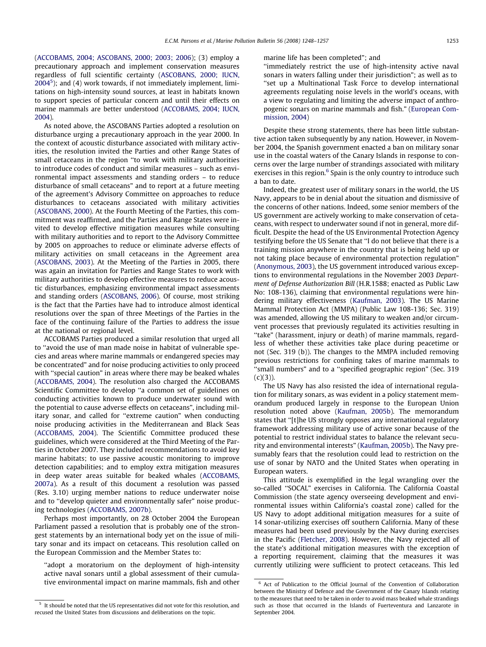([ACCOBAMS, 2004; ASCOBANS, 2000; 2003; 2006](#page-7-0)); (3) employ a precautionary approach and implement conservation measures regardless of full scientific certainty [\(ASCOBANS, 2000; IUCN,](#page-7-0)  $2004<sup>5</sup>$  $2004<sup>5</sup>$ ); and (4) work towards, if not immediately implement, limitations on high-intensity sound sources, at least in habitats known to support species of particular concern and until their effects on marine mammals are better understood ([ACCOBAMS, 2004; IUCN,](#page-7-0) [2004\)](#page-7-0).

As noted above, the ASCOBANS Parties adopted a resolution on disturbance urging a precautionary approach in the year 2000. In the context of acoustic disturbance associated with military activities, the resolution invited the Parties and other Range States of small cetaceans in the region ''to work with military authorities to introduce codes of conduct and similar measures – such as environmental impact assessments and standing orders – to reduce disturbance of small cetaceans" and to report at a future meeting of the agreement's Advisory Committee on approaches to reduce disturbances to cetaceans associated with military activities ([ASCOBANS, 2000\)](#page-7-0). At the Fourth Meeting of the Parties, this commitment was reaffirmed, and the Parties and Range States were invited to develop effective mitigation measures while consulting with military authorities and to report to the Advisory Committee by 2005 on approaches to reduce or eliminate adverse effects of military activities on small cetaceans in the Agreement area ([ASCOBANS, 2003](#page-7-0)). At the Meeting of the Parties in 2005, there was again an invitation for Parties and Range States to work with military authorities to develop effective measures to reduce acoustic disturbances, emphasizing environmental impact assessments and standing orders ([ASCOBANS, 2006\)](#page-7-0). Of course, most striking is the fact that the Parties have had to introduce almost identical resolutions over the span of three Meetings of the Parties in the face of the continuing failure of the Parties to address the issue at the national or regional level.

ACCOBAMS Parties produced a similar resolution that urged all to ''avoid the use of man made noise in habitat of vulnerable species and areas where marine mammals or endangered species may be concentrated" and for noise producing activities to only proceed with "special caution" in areas where there may be beaked whales ([ACCOBAMS, 2004](#page-7-0)). The resolution also charged the ACCOBAMS Scientific Committee to develop ''a common set of guidelines on conducting activities known to produce underwater sound with the potential to cause adverse effects on cetaceans", including military sonar, and called for ''extreme caution" when conducting noise producing activities in the Mediterranean and Black Seas ([ACCOBAMS, 2004](#page-7-0)). The Scientific Committee produced these guidelines, which were considered at the Third Meeting of the Parties in October 2007. They included recommendations to avoid key marine habitats; to use passive acoustic monitoring to improve detection capabilities; and to employ extra mitigation measures in deep water areas suitable for beaked whales [\(ACCOBAMS,](#page-7-0) [2007a\)](#page-7-0). As a result of this document a resolution was passed (Res. 3.10) urging member nations to reduce underwater noise and to ''develop quieter and environmentally safer" noise producing technologies [\(ACCOBAMS, 2007b\)](#page-7-0).

Perhaps most importantly, on 28 October 2004 the European Parliament passed a resolution that is probably one of the strongest statements by an international body yet on the issue of military sonar and its impact on cetaceans. This resolution called on the European Commission and the Member States to:

''adopt a moratorium on the deployment of high-intensity active naval sonars until a global assessment of their cumulative environmental impact on marine mammals, fish and other

#### marine life has been completed"; and

''immediately restrict the use of high-intensity active naval sonars in waters falling under their jurisdiction"; as well as to ''set up a Multinational Task Force to develop international agreements regulating noise levels in the world's oceans, with a view to regulating and limiting the adverse impact of anthropogenic sonars on marine mammals and fish." [\(European Com](#page-7-0)[mission, 2004\)](#page-7-0)

Despite these strong statements, there has been little substantive action taken subsequently by any nation. However, in November 2004, the Spanish government enacted a ban on military sonar use in the coastal waters of the Canary Islands in response to concerns over the large number of strandings associated with military exercises in this region.<sup>6</sup> Spain is the only country to introduce such a ban to date.

Indeed, the greatest user of military sonars in the world, the US Navy, appears to be in denial about the situation and dismissive of the concerns of other nations. Indeed, some senior members of the US government are actively working to make conservation of cetaceans, with respect to underwater sound if not in general, more difficult. Despite the head of the US Environmental Protection Agency testifying before the US Senate that ''I do not believe that there is a training mission anywhere in the country that is being held up or not taking place because of environmental protection regulation" ([Anonymous, 2003\)](#page-7-0), the US government introduced various exceptions to environmental regulations in the November 2003 Department of Defense Authorization Bill (H.R.1588; enacted as Public Law No: 108-136), claiming that environmental regulations were hindering military effectiveness [\(Kaufman, 2003\)](#page-8-0). The US Marine Mammal Protection Act (MMPA) (Public Law 108-136; Sec. 319) was amended, allowing the US military to weaken and/or circumvent processes that previously regulated its activities resulting in ''take" (harassment, injury or death) of marine mammals, regardless of whether these activities take place during peacetime or not (Sec. 319 (b)). The changes to the MMPA included removing previous restrictions for confining takes of marine mammals to ''small numbers" and to a ''specified geographic region" (Sec. 319  $(c)(3)$ ).

The US Navy has also resisted the idea of international regulation for military sonars, as was evident in a policy statement memorandum produced largely in response to the European Union resolution noted above ([Kaufman, 2005b\)](#page-8-0). The memorandum states that ''[t]he US strongly opposes any international regulatory framework addressing military use of active sonar because of the potential to restrict individual states to balance the relevant security and environmental interests" ([Kaufman, 2005b\)](#page-8-0). The Navy presumably fears that the resolution could lead to restriction on the use of sonar by NATO and the United States when operating in European waters.

This attitude is exemplified in the legal wrangling over the so-called ''SOCAL" exercises in California. The California Coastal Commission (the state agency overseeing development and environmental issues within California's coastal zone) called for the US Navy to adopt additional mitigation measures for a suite of 14 sonar-utilizing exercises off southern California. Many of these measures had been used previously by the Navy during exercises in the Pacific ([Fletcher, 2008](#page-8-0)). However, the Navy rejected all of the state's additional mitigation measures with the exception of a reporting requirement, claiming that the measures it was currently utilizing were sufficient to protect cetaceans. This led

<sup>5</sup> It should be noted that the US representatives did not vote for this resolution, and recused the United States from discussions and deliberations on the topic.

<sup>6</sup> Act of Publication to the Official Journal of the Convention of Collaboration between the Ministry of Defence and the Government of the Canary Islands relating to the measures that need to be taken in order to avoid mass beaked whale strandings such as those that occurred in the Islands of Fuerteventura and Lanzarote in September 2004.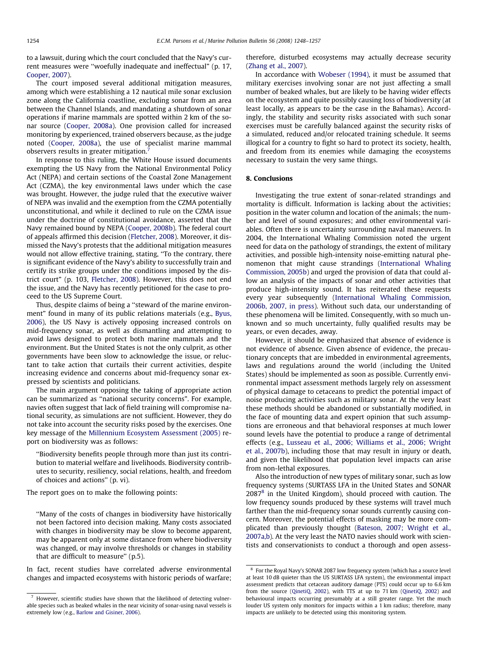to a lawsuit, during which the court concluded that the Navy's current measures were ''woefully inadequate and ineffectual" (p. 17, [Cooper, 2007\)](#page-7-0).

The court imposed several additional mitigation measures, among which were establishing a 12 nautical mile sonar exclusion zone along the California coastline, excluding sonar from an area between the Channel Islands, and mandating a shutdown of sonar operations if marine mammals are spotted within 2 km of the sonar source ([Cooper, 2008a\)](#page-7-0). One provision called for increased monitoring by experienced, trained observers because, as the judge noted ([Cooper, 2008a\)](#page-7-0), the use of specialist marine mammal observers results in greater mitigation.

In response to this ruling, the White House issued documents exempting the US Navy from the National Environmental Policy Act (NEPA) and certain sections of the Coastal Zone Management Act (CZMA), the key environmental laws under which the case was brought. However, the judge ruled that the executive waiver of NEPA was invalid and the exemption from the CZMA potentially unconstitutional, and while it declined to rule on the CZMA issue under the doctrine of constitutional avoidance, asserted that the Navy remained bound by NEPA [\(Cooper, 2008b\)](#page-7-0). The federal court of appeals affirmed this decision [\(Fletcher, 2008\)](#page-8-0). Moreover, it dismissed the Navy's protests that the additional mitigation measures would not allow effective training, stating, ''To the contrary, there is significant evidence of the Navy's ability to successfully train and certify its strike groups under the conditions imposed by the district court" (p. 103, [Fletcher, 2008\)](#page-8-0). However, this does not end the issue, and the Navy has recently petitioned for the case to proceed to the US Supreme Court.

Thus, despite claims of being a ''steward of the marine environment" found in many of its public relations materials (e.g., [Byus,](#page-7-0) [2006\)](#page-7-0), the US Navy is actively opposing increased controls on mid-frequency sonar, as well as dismantling and attempting to avoid laws designed to protect both marine mammals and the environment. But the United States is not the only culprit, as other governments have been slow to acknowledge the issue, or reluctant to take action that curtails their current activities, despite increasing evidence and concerns about mid-frequency sonar expressed by scientists and politicians.

The main argument opposing the taking of appropriate action can be summarized as ''national security concerns". For example, navies often suggest that lack of field training will compromise national security, as simulations are not sufficient. However, they do not take into account the security risks posed by the exercises. One key message of the [Millennium Ecosystem Assessment \(2005\)](#page-8-0) report on biodiversity was as follows:

''Biodiversity benefits people through more than just its contribution to material welfare and livelihoods. Biodiversity contributes to security, resiliency, social relations, health, and freedom of choices and actions'' (p. vi).

The report goes on to make the following points:

''Many of the costs of changes in biodiversity have historically not been factored into decision making. Many costs associated with changes in biodiversity may be slow to become apparent, may be apparent only at some distance from where biodiversity was changed, or may involve thresholds or changes in stability that are difficult to measure'' (p.5).

In fact, recent studies have correlated adverse environmental changes and impacted ecosystems with historic periods of warfare;

therefore, disturbed ecosystems may actually decrease security ([Zhang et al., 2007\)](#page-9-0).

In accordance with [Wobeser \(1994\)](#page-9-0), it must be assumed that military exercises involving sonar are not just affecting a small number of beaked whales, but are likely to be having wider effects on the ecosystem and quite possibly causing loss of biodiversity (at least locally, as appears to be the case in the Bahamas). Accordingly, the stability and security risks associated with such sonar exercises must be carefully balanced against the security risks of a simulated, reduced and/or relocated training schedule. It seems illogical for a country to fight so hard to protect its society, health, and freedom from its enemies while damaging the ecosystems necessary to sustain the very same things.

## 8. Conclusions

Investigating the true extent of sonar-related strandings and mortality is difficult. Information is lacking about the activities; position in the water column and location of the animals; the number and level of sound exposures; and other environmental variables. Often there is uncertainty surrounding naval maneuvers. In 2004, the International Whaling Commission noted the urgent need for data on the pathology of strandings, the extent of military activities, and possible high-intensity noise-emitting natural phenomenon that might cause strandings [\(International Whaling](#page-8-0) [Commission, 2005b\)](#page-8-0) and urged the provision of data that could allow an analysis of the impacts of sonar and other activities that produce high-intensity sound. It has reiterated these requests every year subsequently ([International Whaling Commission,](#page-8-0) [2006b, 2007, in press](#page-8-0)). Without such data, our understanding of these phenomena will be limited. Consequently, with so much unknown and so much uncertainty, fully qualified results may be years, or even decades, away.

However, it should be emphasized that absence of evidence is not evidence of absence. Given absence of evidence, the precautionary concepts that are imbedded in environmental agreements, laws and regulations around the world (including the United States) should be implemented as soon as possible. Currently environmental impact assessment methods largely rely on assessment of physical damage to cetaceans to predict the potential impact of noise producing activities such as military sonar. At the very least these methods should be abandoned or substantially modified, in the face of mounting data and expert opinion that such assumptions are erroneous and that behavioral responses at much lower sound levels have the potential to produce a range of detrimental effects (e.g., [Lusseau et al., 2006; Williams et al., 2006; Wright](#page-8-0) [et al., 2007b](#page-8-0)), including those that may result in injury or death, and given the likelihood that population level impacts can arise from non-lethal exposures.

Also the introduction of new types of military sonar, such as low frequency systems (SURTASS LFA in the United States and SONAR  $2087<sup>8</sup>$  in the United Kingdom), should proceed with caution. The low frequency sounds produced by these systems will travel much farther than the mid-frequency sonar sounds currently causing concern. Moreover, the potential effects of masking may be more complicated than previously thought ([Bateson, 2007; Wright et al.,](#page-7-0) [2007a,b\)](#page-7-0). At the very least the NATO navies should work with scientists and conservationists to conduct a thorough and open assess-

However, scientific studies have shown that the likelihood of detecting vulnerable species such as beaked whales in the near vicinity of sonar-using naval vessels is extremely low (e.g., [Barlow and Gisiner, 2006\)](#page-7-0).

<sup>8</sup> For the Royal Navy's SONAR 2087 low frequency system (which has a source level at least 10 dB quieter than the US SURTASS LFA system), the environmental impact assessment predicts that cetacean auditory damage (PTS) could occur up to 6.6 km from the source ([QinetiQ, 2002](#page-8-0)), with TTS at up to 71 km ([QinetiQ, 2002\)](#page-8-0) and behavioural impacts occurring presumably at a still greater range. Yet the much louder US system only monitors for impacts within a 1 km radius; therefore, many impacts are unlikely to be detected using this monitoring system.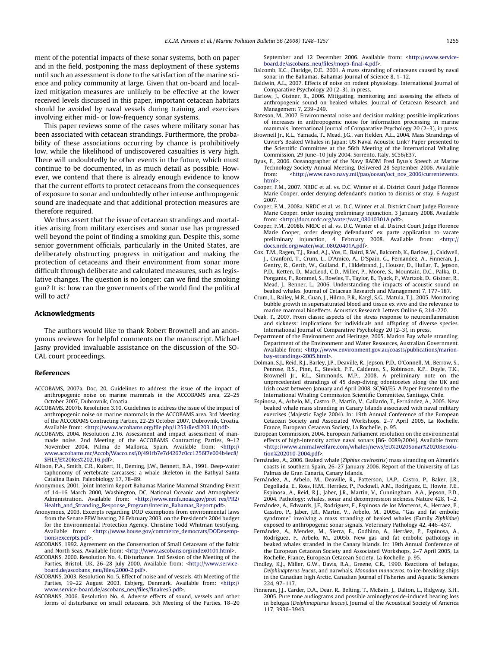<span id="page-7-0"></span>ment of the potential impacts of these sonar systems, both on paper and in the field, postponing the mass deployment of these systems until such an assessment is done to the satisfaction of the marine science and policy community at large. Given that on-board and localized mitigation measures are unlikely to be effective at the lower received levels discussed in this paper, important cetacean habitats should be avoided by naval vessels during training and exercises involving either mid- or low-frequency sonar systems.

This paper reviews some of the cases where military sonar has been associated with cetacean strandings. Furthermore, the probability of these associations occurring by chance is prohibitively low, while the likelihood of undiscovered casualties is very high. There will undoubtedly be other events in the future, which must continue to be documented, in as much detail as possible. However, we contend that there is already enough evidence to know that the current efforts to protect cetaceans from the consequences of exposure to sonar and undoubtedly other intense anthropogenic sound are inadequate and that additional protection measures are therefore required.

We thus assert that the issue of cetacean strandings and mortalities arising from military exercises and sonar use has progressed well beyond the point of finding a smoking gun. Despite this, some senior government officials, particularly in the United States, are deliberately obstructing progress in mitigation and making the protection of cetaceans and their environment from sonar more difficult through deliberate and calculated measures, such as legislative changes. The question is no longer: can we find the smoking gun? It is: how can the governments of the world find the political will to act?

#### Acknowledgments

The authors would like to thank Robert Brownell and an anonymous reviewer for helpful comments on the manuscript. Michael Jasny provided invaluable assistance on the discussion of the SO-CAL court proceedings.

#### References

- ACCOBAMS, 2007a. Doc. 20, Guidelines to address the issue of the impact of anthropogenic noise on marine mammals in the ACCOBAMS area, 22–25 October 2007, Dubrovnik, Croatia.
- ACCOBAMS, 2007b. Resolution 3.10. Guidelines to address the issue of the impact of anthropogenic noise on marine mammals in the ACCOBAMS area. 3rd Meeting of the ACCOBAMS Contracting Parties, 22-25 October 2007, Dubrovnik, Croatia. Available from: [<http://www.accobams.org/file.php/1253/Res%203.10.pdf>](http://www.accobams.org/file.php/1253/Res%203.10.pdf).
- ACCOBAMS, 2004. Resolution 2.16. Assessment and impact assessment of manmade noise. 2nd Meeting of the ACCOBAMS Contracting Parties, 9-12 November 2004, Palma de Mallorca, Spain. Available from: <[http://](http://www.accobams.mc/Accob/Wacco.nsf/0/491fb7e7d4267c0cc1256f7e004b4ec8/$FILE/E%20Res%202.16.pdf) [www.accobams.mc/Accob/Wacco.nsf/0/491fb7e7d4267c0cc1256f7e004b4ec8/](http://www.accobams.mc/Accob/Wacco.nsf/0/491fb7e7d4267c0cc1256f7e004b4ec8/$FILE/E%20Res%202.16.pdf) [\\$FILE/E%20Res%202.16.pdf](http://www.accobams.mc/Accob/Wacco.nsf/0/491fb7e7d4267c0cc1256f7e004b4ec8/$FILE/E%20Res%202.16.pdf)>.
- Allison, P.A., Smith, C.R., Kukert, H., Deming, J.W., Bennett, B.A., 1991. Deep-water taphonomy of vertebrate carcasses: a whale skeleton in the Bathyal Santa Catalina Basin. Paleobiology 17, 78–89.
- Anonymous, 2001. Joint Interim Report Bahamas Marine Mammal Stranding Event of 14–16 March 2000, Washington, DC, National Oceanic and Atmospheric Administration. Available from: <[http://www.nmfs.noaa.gov/prot\\_res/PR2/](http://www.nmfs.noaa.gov/prot_res/PR2/Health_and_Stranding_Response_Program/Interim_Bahamas_Report.pdf) [Health\\_and\\_Stranding\\_Response\\_Program/Interim\\_Bahamas\\_Report.pdf](http://www.nmfs.noaa.gov/prot_res/PR2/Health_and_Stranding_Response_Program/Interim_Bahamas_Report.pdf)>.
- Anonymous, 2003. Excerpts regarding DOD exemptions from environmental laws from the Senate EPW hearing, 26 February 2003, on the President's 2004 budget for the Environmental Protection Agency. Christine Todd Whitman testifying. Available from: <[http://www.house.gov/commerce\\_democrats/DODexemp](http://www.house.gov/commerce_democrats/DODexemptions/excerpts.pdf)[tions/excerpts.pdf>](http://www.house.gov/commerce_democrats/DODexemptions/excerpts.pdf).
- ASCOBANS, 1992. Agreement on the Conservation of Small Cetaceans of the Baltic and North Seas. Available from: [<http://www.ascobans.org/index0101.html](http://www.ascobans.org/index0101.html)>.
- ASCOBANS, 2000. Resolution No. 4. Disturbance. 3rd Session of the Meeting of the Parties, Bristol, UK, 26-28 July 2000. Available from: <[http://www.service](http://www.service-board.de/ascobans_neu/files/2000-2.pdf)[board.de/ascobans\\_neu/files/2000-2.pdf](http://www.service-board.de/ascobans_neu/files/2000-2.pdf)>.
- ASCOBANS, 2003. Resolution No. 5, Effect of noise and of vessels. 4th Meeting of the Parties, 19–22 August 2003, Esbjerg, Denmark. Available from: <[http://](http://www.service-board.de/ascobans_neu/files/finalres5.pdf) [www.service-board.de/ascobans\\_neu/files/finalres5.pdf>](http://www.service-board.de/ascobans_neu/files/finalres5.pdf).
- ASCOBANS, 2006. Resolution No. 4. Adverse effects of sound, vessels and other forms of disturbance on small cetaceans, 5th Meeting of the Parties, 18–20

September and 12 December 2006. Available from: <[http://www.service](http://www.service-board.de/ascobans_neu/files/mop5-final-4.pdf)[board.de/ascobans\\_neu/files/mop5-final-4.pdf>](http://www.service-board.de/ascobans_neu/files/mop5-final-4.pdf).

- Balcomb, K.C., Claridge, D.E., 2001. A mass stranding of cetaceans caused by naval sonar in the Bahamas. Bahamas Journal of Science 8, 1–12.
- Baldwin, A.L., 2007. Effects of noise on rodent physiology. International Journal of Comparative Psychology 20 (2–3), in press.
- Barlow, J., Gisiner, R., 2006. Mitigating, monitoring and assessing the effects of anthropogenic sound on beaked whales. Journal of Cetacean Research and Management 7, 239–249.
- Bateson, M., 2007. Environmental noise and decision making: possible implications of increases in anthropogenic noise for information processing in marine mammals. International Journal of Comparative Psychology 20 (2–3), in press.
- Brownell Jr., R.L., Yamada, T., Mead, J.G., van Helden, A.L., 2004. Mass Strandings of Cuvier's Beaked Whales in Japan: US Naval Acoustic Link? Paper presented to the Scientific Committee at the 56th Meeting of the International Whaling Commission, 29 June–10 July 2004, Sorrento, Italy, SC56/E37.
- Byus, F., 2006. Oceanographer of the Navy RADM Fred Byus's Speech at Marine Technology Society Annual Meeting, Delivered 28 September 2006. Available from: <[http://www.navo.navy.mil/pao/ocean/oct\\_nov\\_2006/currentevents.](http://www.navo.navy.mil/pao/ocean/oct_nov_2006/currentevents.html) [html>](http://www.navo.navy.mil/pao/ocean/oct_nov_2006/currentevents.html).
- Cooper, F.M., 2007. NRDC et al. vs. D.C. Winter et al. District Court Judge Florence Marie Cooper, order denying defendant's motion to dismiss or stay, 6 August 2007.
- Cooper, F.M., 2008a. NRDC et al. vs. D.C. Winter et al. District Court Judge Florence Marie Cooper, order issuing preliminary injunction, 3 January 2008. Available from: [<http://docs.nrdc.org/water/wat\\_08010301A.pdf](http://docs.nrdc.org/water/wat_08010301A.pdf)>.
- Cooper, F.M., 2008b. NRDC et al. vs. D.C. Winter et al. District Court Judge Florence Marie Cooper, order denying defendants' ex parte application to vacate preliminary injunction, 4 February 2008. Available from: <[http://](http://docs.nrdc.org/water/wat_08020401A.pdf) [docs.nrdc.org/water/wat\\_08020401A.pdf>](http://docs.nrdc.org/water/wat_08020401A.pdf).
- Cox, T.M., Ragen, T.J., Read, A.J., Vos, E., Baird, R.W., Balcomb, K., Barlow, J., Caldwell, J., Cranford, T., Crum, L., D'Amico, A., D'Spain, G., Fernandez, A., Finneran, J., Gentry, R., Gerth, W., Gulland, F., Hildebrand, J., Houser, D., Hullar, T., Jepson, P.D., Ketten, D., MacLeod, C.D., Miller, P., Moore, S., Mountain, D.C., Palka, D., Ponganis, P., Rommel, S., Rowles, T., Taylor, B., Tyack, P., Wartzok, D., Gisiner, R., Mead, J., Benner, L., 2006. Understanding the impacts of acoustic sound on beaked whales. Journal of Cetacean Research and Management 7, 177–187.
- Crum, L., Bailey, M.R., Guan, J., Hilmo, P.R., Kargl, S.G., Matula, T.J., 2005. Monitoring bubble growth in supersaturated blood and tissue ex vivo and the relevance to marine mammal bioeffects. Acoustics Research Letters Online 6, 214–220.
- Deak, T., 2007. From classic aspects of the stress response to neuroinflammation and sickness: implications for individuals and offspring of diverse species. International Journal of Comparative Psychology 20 (2–3), in press.
- Department of the Environment and Heritage, 2005. Marion Bay whale stranding. Department of the Environment and Water Resources, Australian Government. Available from: [<http://www.environment.gov.au/coasts/publications/marion](http://www.environment.gov.au/coasts/publications/marion-bay-strandings-2005.html)[bay-strandings-2005.html](http://www.environment.gov.au/coasts/publications/marion-bay-strandings-2005.html)>.
- Dolman, S.J., Reid, R.J., Barley, J.P., Deaville, R., Jepson, P.D., O'Connell, M., Berrow, S., Penrose, R.S., Pinn, E., Stevick, P.T., Calderan, S., Robinson, K.P., Doyle, T.K., Brownell Jr., R.L., Simmonds, M.P., 2008. A preliminary note on the unprecedented strandings of 45 deep-diving odontocetes along the UK and Irish coast between January and April 2008, SC/60/E5. A Paper Presented to the International Whaling Commission Scientific Committee, Santiago, Chile.
- Espinosa, A., Arbelo, M., Castro, P., Martín, V., Gallardo, T., Fernández, A., 2005. New beaked whale mass stranding in Canary Islands associated with naval military exercises (Majestic Eagle 2004). In: 19th Annual Conference of the European Cetacean Society and Associated Workshops, 2–7 April 2005, La Rochelle, France, European Cetacean Society, La Rochelle, p. 95.
- European Commission, 2004. European Parliament resolution on the environmental effects of high-intensity active naval sonars [B6- 0089/2004]. Available from: [<http://www.animalwelfare.com/whales/news/EU%2020Sonar%2020Resolu](http://www.animalwelfare.com/whales/news/EU%2020Sonar%2020Resolution%202010-2004.pdf)[tion%202010-2004.pdf>](http://www.animalwelfare.com/whales/news/EU%2020Sonar%2020Resolution%202010-2004.pdf).
- Fernández, A., 2006. Beaked whale (Ziphius cavirostris) mass stranding on Almería's coasts in southern Spain, 26–27 January 2006. Report of the University of Las Palmas de Gran Canaria, Canary Islands.
- Fernández, A., Arbelo, M., Deaville, R., Patterson, I.A.P., Castro, P., Baker, J.R., Degollada, E., Ross, H.M., Herráez, P., Pocknell, A.M., Rodríguez, E., Howie, F.E., Espinosa, A., Reid, R.J., Jaber, J.R., Martin, V., Cunningham, A.A., Jepson, P.D., 2004. Pathology: whales, sonar and decompression sickness. Nature 428, 1–2.
- Fernández, A., Edwards, J.F., Rodriguez, F., Espinosa de los Morteros, A., Herraez, P., Casstro, P., Jaber, J.R., Martin, V., Arbelo, M., 2005a. ''Gas and fat embolic syndrome" involving a mass stranding of beaked whales (Family Ziphiidae) exposed to anthropogenic sonar signals. Veterinary Pathology 42, 446–457.
- Fernández, A., Mendez, M., Sierra, E., Godhino, A., Herráez, P., Espinosa, A., Rodríguez, F., Arbelo, M., 2005b. New gas and fat embolic pathology in beaked whales stranded in the Canary Islands. In: 19th Annual Conference of the European Cetacean Society and Associated Workshops, 2–7 April 2005, La Rochelle, France, European Cetacean Society, La Rochelle, p. 95.
- Findley, K.J., Miller, G.W., Davis, R.A., Greene, C.R., 1990. Reactions of belugas, Delphinapterus leucas, and narwhals, Monodon monoceros, to ice-breaking ships in the Canadian high Arctic. Canadian Journal of Fisheries and Aquatic Sciences 224, 97–117.
- Finneran, J.J., Carder, D.A., Dear, R., Belting, T., McBain, J., Dalton, L., Ridgway, S.H., 2005. Pure tone audiograms and possible aminoglycoside-induced hearing loss in belugas (Delphinapterus leucas). Journal of the Acoustical Society of America 117, 3936–3943.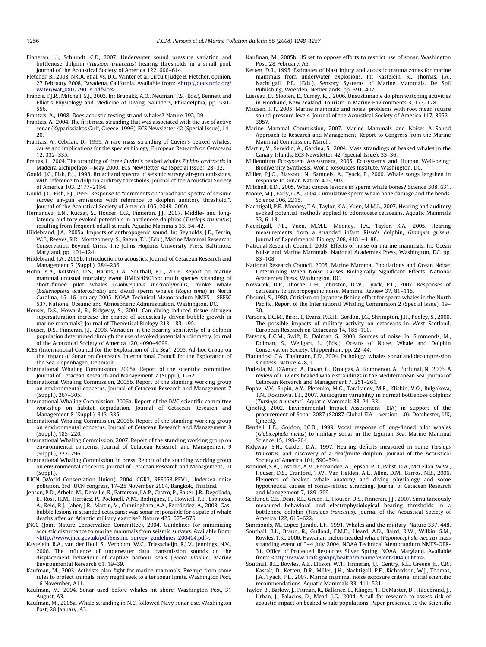- <span id="page-8-0"></span>Finneran, J.J., Schlundt, C.E., 2007. Underwater sound pressure variation and bottlenose dolphin (Tursiops truncatus) hearing thresholds in a small pool. Journal of the Acoustical Society of America 122, 606–614.
- Fletcher, B., 2008. NRDC et al. vs. D.C. Winter et al. Circuit Judge B. Fletcher, opinion, 27 February 2008, Pasadena, California. Available from: [<http://docs.nrdc.org/](http://docs.nrdc.org/water/wat_08022901A.pdfSice) [water/wat\\_08022901A.pdfSice](http://docs.nrdc.org/water/wat_08022901A.pdfSice)>.
- Francis, T.J.R., Mitchell, S.J., 2003. In: Brubakk, A.O., Neuman, T.S. (Eds.), Bennett and Elliot's Physiology and Medicine of Diving. Saunders, Philadelphia, pp. 530– 556.
- Frantzis, A., 1998. Does acoustic testing strand whales? Nature 392, 29.
- Frantzis, A., 2004. The first mass stranding that was associated with the use of active sonar (Kyparissiakos Gulf, Greece, 1996). ECS Newsletter 42 (Special Issue), 14– 20.
- Frantzis, A., Cebrian, D., 1999. A rare mass stranding of Cuvier's beaked whales: cause and implications for the species biology. European Research on Cetaceans 12, 332–335.
- Freitas, L., 2004. The stranding of three Cuvier's beaked whales Ziphius cavirostris in Madeira archipelago – May 2000. ECS Newsletter 42 (Special Issue), 28–32.
- Gould, J.C., Fish, P.J., 1998. Broadband spectra of seismic survey air-gun emissions, with reference to dolphin auditory thresholds. Journal of the Acoustical Society of America 103, 2177–2184.
- Gould, J.C., Fish, P.J., 1999. Response to ''comments on 'broadband spectra of seismic survey air-gun emissions with reference to dolphin auditory threshold'". Journal of the Acoustical Society of America 105, 2049–2050.
- Hernandez, E.N., Kuczaj, S., Houser, D.S., Finneran, J.J., 2007. Middle- and longlatency auditory evoked potentials in bottlenose dolphins (Tursiops truncatus) resulting from frequent od.all stimuli. Aquatic Mammals 33, 34–42.
- Hildebrand, J.A., 2005a. Impacts of anthropogenic sound. In: Reynolds, J.E., Perrin, W.F., Reeves, R.R., Montgomery, S., Ragen, T.J. (Eds.), Marine Mammal Research: Conservation Beyond Crisis. The Johns Hopkins University Press, Baltimore, Maryland, pp. 101–124.
- Hildebrand, J.A., 2005b. Introduction to acoustics. Journal of Cetacean Research and Management 7 (Suppl.), 284–286.
- Hohn, A.A., Rotstein, D.S., Harms, C.A., Southall, B.L., 2006. Report on marine mammal unusual mortality event UMESE0501Sp: multi species stranding of short-finned pilot whales (Globicephala macrorhynchus) minke whale (Balaenoptera acutorostrata) and dwarf sperm whales (Kogia sima) in North Carolina, 15–16 January 2005, NOAA Technical Memorandum NMFS – SEFSC 537. National Oceanic and Atmospheric Administration, Washington, DC.
- Houser, D.S., Howard, R., Ridgway, S., 2001. Can diving-induced tissue nitrogen supersaturation increase the chance of acoustically driven bubble growth in marine mammals? Journal of Theoretical Biology 213, 183–195.
- Houser, D.S., Finneran, J.J., 2006. Variation in the hearing sensitivity of a dolphin population determined through the use of evoked potential audiometry. Journal of the Acoustical Society of America 120, 4090–4099.
- ICES (International Council for the Exploration of the Sea), 2005. Ad-hoc Group on the Impact of Sonar on Cetaceans. International Council for the Exploration of the Sea, Copenhagen, Denmark.
- International Whaling Commission, 2005a. Report of the scientific committee. Journal of Cetacean Research and Management 7 (Suppl.), 1–62.
- International Whaling Commission, 2005b. Report of the standing working group on environmental concerns. Journal of Cetacean Research and Management 7 (Suppl.), 267–305.
- International Whaling Commission, 2006a. Report of the IWC scientific committee workshop on habitat degradation. Journal of Cetacean Research and Management 8 (Suppl.), 313–335.
- International Whaling Commission, 2006b. Report of the standing working group on environmental concerns. Journal of Cetacean Research and Management 8  $(Sumb)$ , 185–220.
- International Whaling Commission, 2007. Report of the standing working group on environmental concerns. Journal of Cetacean Research and Management 9 (Suppl.), 227–296.
- International Whaling Commission, in press. Report of the standing working group on environmental concerns. Journal of Cetacean Research and Management, 10 (Suppl.).
- IUCN (World Conservation Union), 2004. CGR3, RES053-REV1, Undersea noise pollution. 3rd IUCN congress, 17–25 November 2004, Bangkok, Thailand.
- Jepson, P.D., Arbelo, M., Deaville, R., Patterson, I.A.P., Castro, P., Baker, J.R., Degollada, E., Ross, H.M., Herráez, P., Pocknell, A.M., Rodríguez, F., Howiell, F.E., Espinosa, A., Reid, R.J., Jaber, J.R., Martin, V., Cunningham, A.A., Fernández, A., 2003. Gasbubble lesions in stranded cetaceans: was sonar responsible for a spate of whale deaths after an Atlantic military exercise? Nature 425, 575–576.
- JNCC (Joint Nature Conservation Committee), 2004. Guidelines for minimizing acoustic disturbance to marine mammals from seismic surveys. Available from: [<http://www.jncc.gov.uk/pdf/Seismic\\_survey\\_guidelines\\_200404.pdf>](http://www.jncc.gov.uk/pdf/Seismic_survey_guidelines_200404.pdf).
- Kastelein, R.A., van der Heul, S., Verboom, W.C., Triesscheijn, R.J.V., Jennings, N.V., 2006. The influence of underwater data transmission sounds on the displacement behaviour of captive harbour seals (Phoca vitulina. Marine Environmental Research 61, 19–39.
- Kaufman, M., 2003. Activists plan fight for marine mammals. Exempt from some rules to protect animals, navy might seek to alter sonar limits. Washington Post, 16 November, A11.
- Kaufman, M., 2004. Sonar used before whales hit shore. Washington Post, 31 August, A3.
- Kaufman, M., 2005a. Whale stranding in N.C. followed Navy sonar use. Washington Post, 28 January, A3.
- Kaufman, M., 2005b. US set to oppose efforts to restrict use of sonar. Washington Post, 28 February, A5.
- Ketten, D.R., 1995. Estimates of blast injury and acoustic trauma zones for marine mammals from underwater explosions. In: Kastelein, R., Thomas, J.A., Nachtigall, P.E. (Eds.), Sensory Systems of Marine Mammals. De Spil Publishing, Woerden, Netherlands, pp. 391–407.
- Lusseau, D., Slooten, E., Currey, R.J., 2006. Unsustainable dolphin watching activities in Fiordland, New Zealand. Tourism in Marine Environments 3, 173–178.
- Madsen, P.T., 2005. Marine mammals and noise: problems with root mean square sound pressure levels. Journal of the Acoustical Society of America 117, 3952– 3957.
- Marine Mammal Commission, 2007. Marine Mammals and Noise: A Sound Approach to Research and Management. Report to Congress from the Marine Mammal Commission, March.
- Martin, V., Servidio, A., Garciua, S., 2004. Mass strandings of beaked whales in the Canary Islands. ECS Newsletter 42 (Special Issue), 33–36.
- Millennium Ecosystem Assessment, 2005. Ecosystems and Human Well-being: Biodiversity Synthesis. World Resources Institute, Washington, DC.
- Miller, P.J.O., Biassoni, N., Samuels, A., Tyack, P., 2000. Whale songs lengthen in response to sonar. Nature 405, 903.
- Mitchell, E.D., 2005. What causes lesions in sperm whale bones? Science 308, 631. Moore, M.J., Early, G.A., 2004. Cumulative sperm whale bone damage and the bends. Science 306, 2215.
- Nachtigall, P.E., Mooney, T.A., Taylor, K.A., Yuen, M.M.L., 2007. Hearing and auditory evoked potential methods applied to odontocete cetaceans. Aquatic Mammals 33, 6–13.
- Nachtigall, P.E., Yuen, M.M.L., Mooney, T.A., Taylor, K.A., 2005. Hearing measurements from a stranded infant Risso's dolphin, Grampus griseus. Journal of Experimental Biology 208, 4181–4188.
- National Research Council, 2003. Effects of noise on marine mammals. In: Ocean Noise and Marine Mammals. National Academies Press, Washington, DC, pp. 83–108.
- National Research Council, 2005. Marine Mammal Populations and Ocean Noise: Determining When Noise Causes Biologically Significant Effects. National Academies Press, Washington, DC.
- Nowacek, D.P., Thorne, L.H., Johnston, D.W., Tyack, P.L., 2007. Responses of cetaceans to anthropogenic noise. Mammal Review 37, 81–115.
- Ohsumi, S., 1980. Criticism on Japanese fishing effort for sperm whales in the North Pacific. Report of the International Whaling Commission 2 (Special Issue), 19– 30.
- Parsons, E.C.M., Birks, I., Evans, P.G.H., Gordon, J.G., Shrimpton, J.H., Pooley, S., 2000. The possible impacts of military activity on cetaceans in West Scotland. European Research on Cetaceans 14, 185–190.
- Parsons, E.C.M., Swift, R., Dolman, S., 2003. Sources of noise. In: Simmonds, M., Dolman, S., Weilgart, L. (Eds.), Oceans of Noise. Whale and Dolphin Conservation Society, Chippenham, pp. 22–44.
- Piantadosi, C.A., Thalmann, E.D., 2004. Pathology: whales, sonar and decompression sickness. Nature 428, 1.
- Podesta, M., D'Amico, A., Pavan, G., Drougas, A., Komnenou, A., Portunat, N., 2006. A review of Cuvier's beaked whale strandings in the Mediterranean Sea. Journal of Cetacean Research and Management 7, 251–261.
- Popov, V.V., Supin, A.Y., Pletenko, M.G., Tarakanov, M.B., Klishin, V.O., Bulgakova, T.N., Rosanova, E.I., 2007. Audiogram variability in normal bottlenose dolphins (Tursiops truncatus). Aquatic Mammals 33, 24–33.
- QinetiQ, 2002. Environmental Impact Assessment (EIA) in support of the procurement of Sonar 2087 (S2087 Global EIA – version 1.0). Dorchester, UK, QinetiQ.
- Rendell, L.E., Gordon, J.C.D., 1999. Vocal response of long-finned pilot whales (Globicephala melas) to military sonar in the Ligurian Sea. Marine Mammal Science 15, 198–204.
- Ridgway, S.H., Carder, D.A., 1997. Hearing deficits measured in some Tursiops truncatus, and discovery of a deaf/mute dolphin. Journal of the Acoustical Society of America 101, 590–594.
- Rommel, S.A., Costidid, A.M., Fernandez, A., Jepson, P.D., Pabst, D.A., McLellan, W.W., Houser, D.S., Cranford, T.W., Van Helden, A.L., Allen, D.M., Barros, N.B., 2006. Elements of beaked whale anatomy and diving physiology and some hypothetical causes of sonar-related stranding. Journal of Cetacean Research and Management 7, 189–209.
- Schlundt, C.E., Dear, R.L., Green, L., Houser, D.S., Finneran, J.J., 2007. Simultaneously measured behavioral and electrophysiological hearing thresholds in a bottlenose dolphin (Tursiops truncatus). Journal of the Acoustical Society of America 122, 615–622.

Simmonds, M., Lopez-Jurado, L.F., 1991. Whales and the military. Nature 337, 448.

- Southall, B.L., Braun, R., Gulland, F.M.D., Heard, A.D., Baird, R.W., Wilkin, S.M., Rowles, T.K., 2006. Hawaiian melon-headed whale (Peponocephala electra) mass stranding event of 3–4 July 2004, NOAA Technical Memorandum NMFS-OPR-31. Office of Protected Resources Silver Spring, NOAA, Maryland. Available from: [<http://www.nmfs.gov/pr/health/mmume/event2004jul.htm](http://www.nmfs.gov/pr/health/mmume/event2004jul.htm)>.
- Southall, B.L., Bowles, A.E., Ellison, W.T., Finneran, J.J., Gentry, R.L., Greene Jr., C.R., Kastak, D., Ketten, D.R., Miller, J.H., Nachtigall, P.E., Richardson, W.J., Thomas, J.A., Tyack, P.L., 2007. Marine mammal noise exposure criteria: initial scientific recommendations. Aquatic Mammals 33, 411–521.
- Taylor, B., Barlow, J., Pitman, R., Ballance, L., Klinger, T., DeMaster, D., Hildebrand, J., Urban, J., Palacios, D., Mead, J.G., 2004. A call for research to assess risk of acoustic impact on beaked whale populations. Paper presented to the Scientific